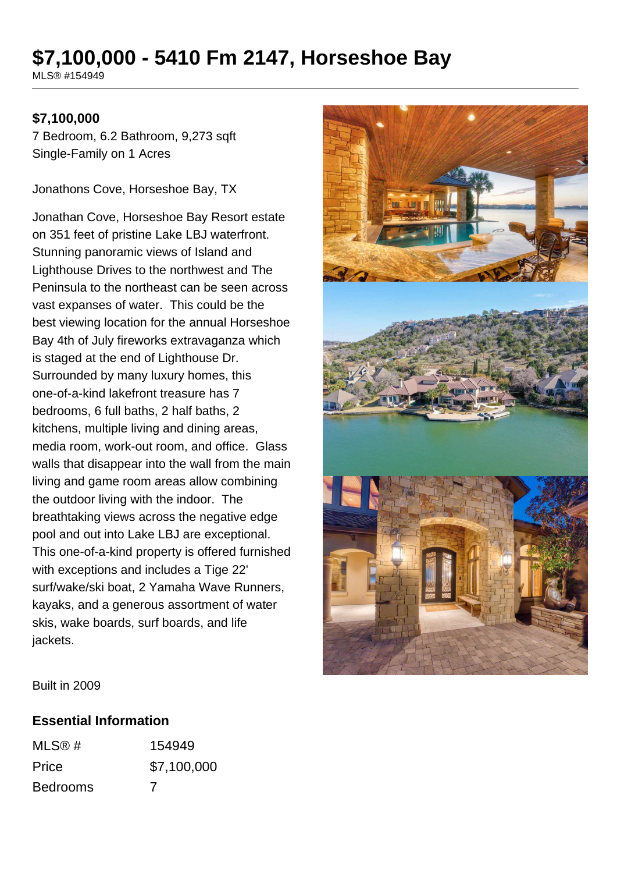# **\$7,100,000 - 5410 Fm 2147, Horseshoe Bay**

MLS® #154949

## **\$7,100,000**

7 Bedroom, 6.2 Bathroom, 9,273 sqft Single-Family on 1 Acres

Jonathons Cove, Horseshoe Bay, TX

Jonathan Cove, Horseshoe Bay Resort estate on 351 feet of pristine Lake LBJ waterfront. Stunning panoramic views of Island and Lighthouse Drives to the northwest and The Peninsula to the northeast can be seen across vast expanses of water. This could be the best viewing location for the annual Horseshoe Bay 4th of July fireworks extravaganza which is staged at the end of Lighthouse Dr. Surrounded by many luxury homes, this one-of-a-kind lakefront treasure has 7 bedrooms, 6 full baths, 2 half baths, 2 kitchens, multiple living and dining areas, media room, work-out room, and office. Glass walls that disappear into the wall from the main living and game room areas allow combining the outdoor living with the indoor. The breathtaking views across the negative edge pool and out into Lake LBJ are exceptional. This one-of-a-kind property is offered furnished with exceptions and includes a Tige 22' surf/wake/ski boat, 2 Yamaha Wave Runners, kayaks, and a generous assortment of water skis, wake boards, surf boards, and life jackets.



Built in 2009

#### **Essential Information**

| MLS@#           | 154949      |
|-----------------|-------------|
| Price           | \$7,100,000 |
| <b>Bedrooms</b> | 7           |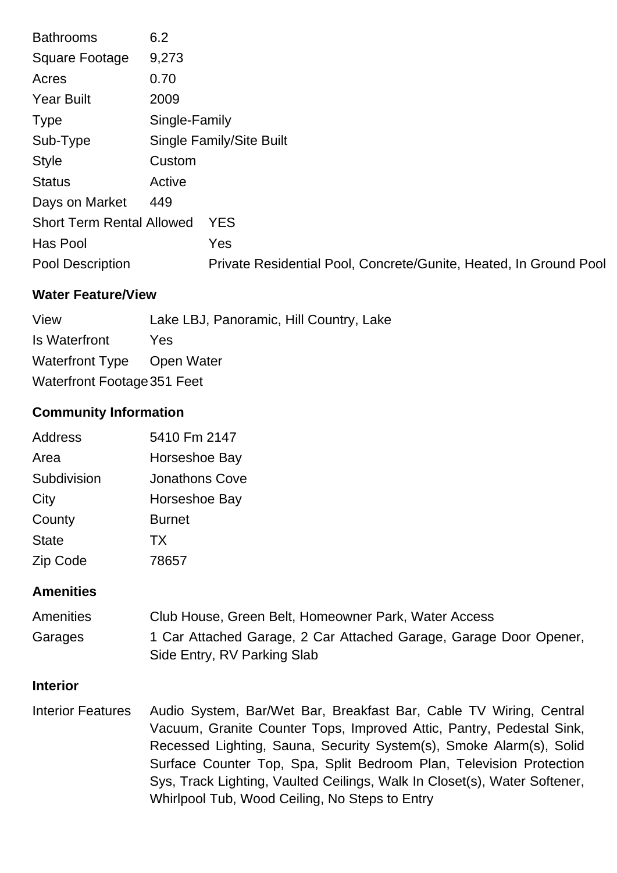| <b>Bathrooms</b>                 | 6.2           |                                                                   |
|----------------------------------|---------------|-------------------------------------------------------------------|
| <b>Square Footage</b>            | 9,273         |                                                                   |
| Acres                            | 0.70          |                                                                   |
| <b>Year Built</b>                | 2009          |                                                                   |
| <b>Type</b>                      | Single-Family |                                                                   |
| Sub-Type                         |               | Single Family/Site Built                                          |
| <b>Style</b>                     | Custom        |                                                                   |
| <b>Status</b>                    | Active        |                                                                   |
| Days on Market                   | 449           |                                                                   |
| <b>Short Term Rental Allowed</b> |               | <b>YES</b>                                                        |
| Has Pool                         |               | Yes                                                               |
| Pool Description                 |               | Private Residential Pool, Concrete/Gunite, Heated, In Ground Pool |
|                                  |               |                                                                   |

# **Water Feature/View**

| View                        | Lake LBJ, Panoramic, Hill Country, Lake |  |
|-----------------------------|-----------------------------------------|--|
| Is Waterfront               | <b>Yes</b>                              |  |
| Waterfront Type Open Water  |                                         |  |
| Waterfront Footage 351 Feet |                                         |  |

# **Community Information**

| Address      | 5410 Fm 2147   |
|--------------|----------------|
| Area         | Horseshoe Bay  |
| Subdivision  | Jonathons Cove |
| City         | Horseshoe Bay  |
| County       | <b>Burnet</b>  |
| <b>State</b> | <b>TX</b>      |
| Zip Code     | 78657          |

## **Amenities**

| <b>Amenities</b> | Club House, Green Belt, Homeowner Park, Water Access              |
|------------------|-------------------------------------------------------------------|
| Garages          | 1 Car Attached Garage, 2 Car Attached Garage, Garage Door Opener, |
|                  | Side Entry, RV Parking Slab                                       |

## **Interior**

Interior Features Audio System, Bar/Wet Bar, Breakfast Bar, Cable TV Wiring, Central Vacuum, Granite Counter Tops, Improved Attic, Pantry, Pedestal Sink, Recessed Lighting, Sauna, Security System(s), Smoke Alarm(s), Solid Surface Counter Top, Spa, Split Bedroom Plan, Television Protection Sys, Track Lighting, Vaulted Ceilings, Walk In Closet(s), Water Softener, Whirlpool Tub, Wood Ceiling, No Steps to Entry